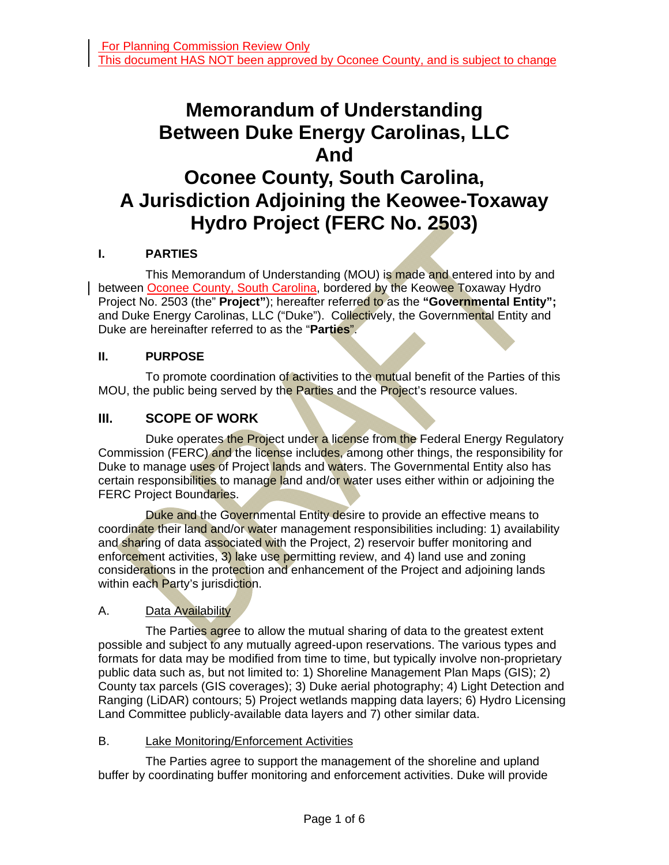# **Memorandum of Understanding Between Duke Energy Carolinas, LLC And Oconee County, South Carolina, A Jurisdiction Adjoining the Keowee-Toxaway Hydro Project (FERC No. 2503)**

# **I. PARTIES**

 This Memorandum of Understanding (MOU) is made and entered into by and between Oconee County, South Carolina, bordered by the Keowee Toxaway Hydro Project No. 2503 (the" **Project"**); hereafter referred to as the **"Governmental Entity";**  and Duke Energy Carolinas, LLC ("Duke"). Collectively, the Governmental Entity and Duke are hereinafter referred to as the "**Parties**".

#### **II. PURPOSE**

To promote coordination of activities to the mutual benefit of the Parties of this MOU, the public being served by the Parties and the Project's resource values.

# **III. SCOPE OF WORK**

Duke operates the Project under a license from the Federal Energy Regulatory Commission (FERC) and the license includes, among other things, the responsibility for Duke to manage uses of Project lands and waters. The Governmental Entity also has certain responsibilities to manage land and/or water uses either within or adjoining the FERC Project Boundaries.

Duke and the Governmental Entity desire to provide an effective means to coordinate their land and/or water management responsibilities including: 1) availability and sharing of data associated with the Project, 2) reservoir buffer monitoring and enforcement activities, 3) lake use permitting review, and 4) land use and zoning considerations in the protection and enhancement of the Project and adjoining lands within each Party's jurisdiction.

### A. Data Availability

The Parties agree to allow the mutual sharing of data to the greatest extent possible and subject to any mutually agreed-upon reservations. The various types and formats for data may be modified from time to time, but typically involve non-proprietary public data such as, but not limited to: 1) Shoreline Management Plan Maps (GIS); 2) County tax parcels (GIS coverages); 3) Duke aerial photography; 4) Light Detection and Ranging (LiDAR) contours; 5) Project wetlands mapping data layers; 6) Hydro Licensing Land Committee publicly-available data layers and 7) other similar data.

#### B. Lake Monitoring/Enforcement Activities

 The Parties agree to support the management of the shoreline and upland buffer by coordinating buffer monitoring and enforcement activities. Duke will provide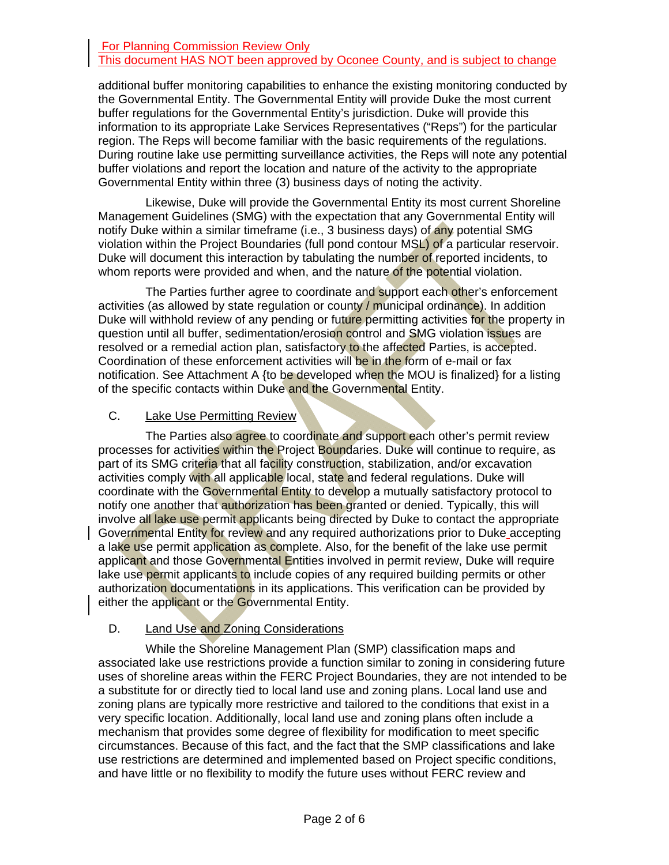#### For Planning Commission Review Only This document HAS NOT been approved by Oconee County, and is subject to change

additional buffer monitoring capabilities to enhance the existing monitoring conducted by the Governmental Entity. The Governmental Entity will provide Duke the most current buffer regulations for the Governmental Entity's jurisdiction. Duke will provide this information to its appropriate Lake Services Representatives ("Reps") for the particular region. The Reps will become familiar with the basic requirements of the regulations. During routine lake use permitting surveillance activities, the Reps will note any potential buffer violations and report the location and nature of the activity to the appropriate Governmental Entity within three (3) business days of noting the activity.

 Likewise, Duke will provide the Governmental Entity its most current Shoreline Management Guidelines (SMG) with the expectation that any Governmental Entity will notify Duke within a similar timeframe (i.e., 3 business days) of any potential SMG violation within the Project Boundaries (full pond contour MSL) of a particular reservoir. Duke will document this interaction by tabulating the number of reported incidents, to whom reports were provided and when, and the nature of the potential violation.

The Parties further agree to coordinate and support each other's enforcement activities (as allowed by state regulation or county / municipal ordinance). In addition Duke will withhold review of any pending or future permitting activities for the property in question until all buffer, sedimentation/erosion control and SMG violation issues are resolved or a remedial action plan, satisfactory to the affected Parties, is accepted. Coordination of these enforcement activities will be in the form of e-mail or fax notification. See Attachment A {to be developed when the MOU is finalized} for a listing of the specific contacts within Duke and the Governmental Entity.

#### C. Lake Use Permitting Review

The Parties also agree to coordinate and support each other's permit review processes for activities within the Project Boundaries. Duke will continue to require, as part of its SMG criteria that all facility construction, stabilization, and/or excavation activities comply with all applicable local, state and federal regulations. Duke will coordinate with the Governmental Entity to develop a mutually satisfactory protocol to notify one another that authorization has been granted or denied. Typically, this will involve all lake use permit applicants being directed by Duke to contact the appropriate Governmental Entity for review and any required authorizations prior to Duke accepting a lake use permit application as complete. Also, for the benefit of the lake use permit applicant and those Governmental Entities involved in permit review, Duke will require lake use permit applicants to include copies of any required building permits or other authorization documentations in its applications. This verification can be provided by either the applicant or the Governmental Entity.

### D. Land Use and Zoning Considerations

 While the Shoreline Management Plan (SMP) classification maps and associated lake use restrictions provide a function similar to zoning in considering future uses of shoreline areas within the FERC Project Boundaries, they are not intended to be a substitute for or directly tied to local land use and zoning plans. Local land use and zoning plans are typically more restrictive and tailored to the conditions that exist in a very specific location. Additionally, local land use and zoning plans often include a mechanism that provides some degree of flexibility for modification to meet specific circumstances. Because of this fact, and the fact that the SMP classifications and lake use restrictions are determined and implemented based on Project specific conditions, and have little or no flexibility to modify the future uses without FERC review and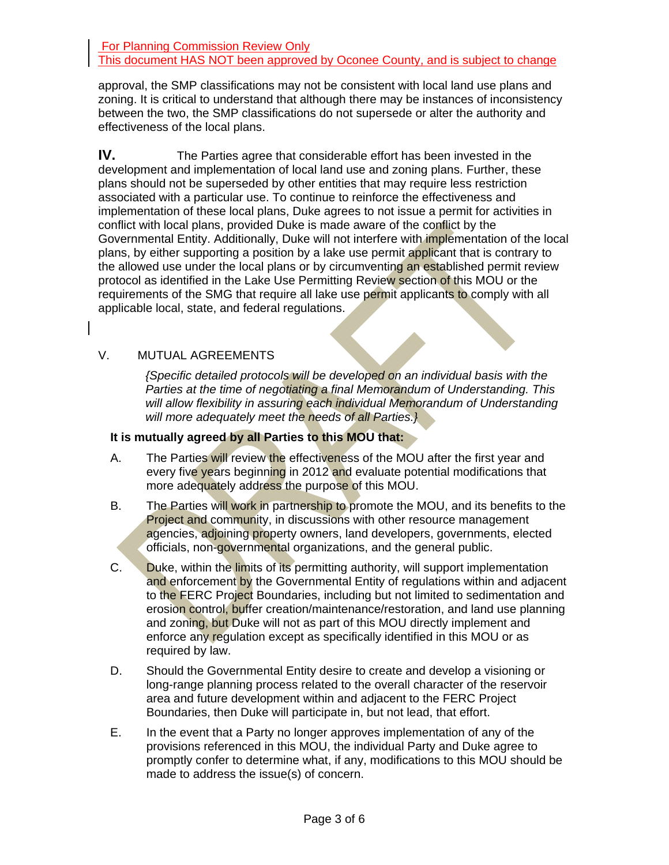approval, the SMP classifications may not be consistent with local land use plans and zoning. It is critical to understand that although there may be instances of inconsistency between the two, the SMP classifications do not supersede or alter the authority and effectiveness of the local plans.

**IV.** The Parties agree that considerable effort has been invested in the development and implementation of local land use and zoning plans. Further, these plans should not be superseded by other entities that may require less restriction associated with a particular use. To continue to reinforce the effectiveness and implementation of these local plans, Duke agrees to not issue a permit for activities in conflict with local plans, provided Duke is made aware of the conflict by the Governmental Entity. Additionally, Duke will not interfere with *implementation* of the local plans, by either supporting a position by a lake use permit applicant that is contrary to the allowed use under the local plans or by circumventing an established permit review protocol as identified in the Lake Use Permitting Review section of this MOU or the requirements of the SMG that require all lake use permit applicants to comply with all applicable local, state, and federal regulations.

# V. MUTUAL AGREEMENTS

*{Specific detailed protocols will be developed on an individual basis with the Parties at the time of negotiating a final Memorandum of Understanding. This will allow flexibility in assuring each individual Memorandum of Understanding will more adequately meet the needs of all Parties.}* 

#### **It is mutually agreed by all Parties to this MOU that:**

- A. The Parties will review the effectiveness of the MOU after the first year and every five years beginning in 2012 and evaluate potential modifications that more adequately address the purpose of this MOU.
- B. The Parties will work in partnership to promote the MOU, and its benefits to the Project and community, in discussions with other resource management agencies, adjoining property owners, land developers, governments, elected officials, non-governmental organizations, and the general public.
- C. Duke, within the limits of its permitting authority, will support implementation and enforcement by the Governmental Entity of regulations within and adjacent to the FERC Project Boundaries, including but not limited to sedimentation and erosion control, buffer creation/maintenance/restoration, and land use planning and zoning, but Duke will not as part of this MOU directly implement and enforce any regulation except as specifically identified in this MOU or as required by law.
- D. Should the Governmental Entity desire to create and develop a visioning or long-range planning process related to the overall character of the reservoir area and future development within and adjacent to the FERC Project Boundaries, then Duke will participate in, but not lead, that effort.
- E. In the event that a Party no longer approves implementation of any of the provisions referenced in this MOU, the individual Party and Duke agree to promptly confer to determine what, if any, modifications to this MOU should be made to address the issue(s) of concern.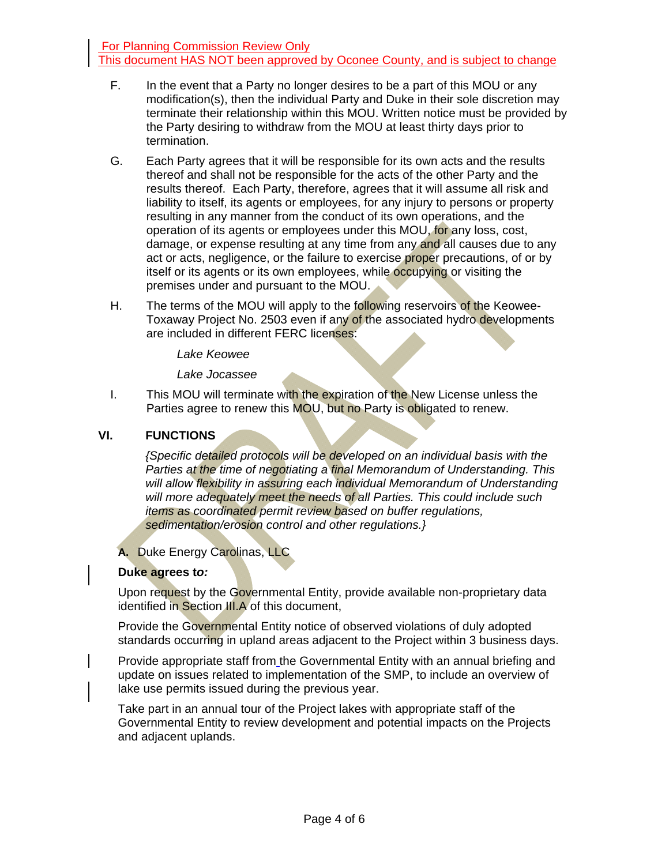- F. In the event that a Party no longer desires to be a part of this MOU or any modification(s), then the individual Party and Duke in their sole discretion may terminate their relationship within this MOU. Written notice must be provided by the Party desiring to withdraw from the MOU at least thirty days prior to termination.
- G. Each Party agrees that it will be responsible for its own acts and the results thereof and shall not be responsible for the acts of the other Party and the results thereof. Each Party, therefore, agrees that it will assume all risk and liability to itself, its agents or employees, for any injury to persons or property resulting in any manner from the conduct of its own operations, and the operation of its agents or employees under this MOU, for any loss, cost, damage, or expense resulting at any time from any and all causes due to any act or acts, negligence, or the failure to exercise proper precautions, of or by itself or its agents or its own employees, while **occupying** or visiting the premises under and pursuant to the MOU.
- H. The terms of the MOU will apply to the following reservoirs of the Keowee-Toxaway Project No. 2503 even if any of the associated hydro developments are included in different FERC licenses:

*Lake Keowee* 

*Lake Jocassee* 

I. This MOU will terminate with the expiration of the New License unless the Parties agree to renew this MOU, but no Party is obligated to renew.

# **VI. FUNCTIONS**

*{Specific detailed protocols will be developed on an individual basis with the Parties at the time of negotiating a final Memorandum of Understanding. This*  will allow flexibility in assuring each individual Memorandum of Understanding will more adequately meet the needs of all Parties. This could include such *items as coordinated permit review based on buffer regulations, sedimentation/erosion control and other regulations.}* 

### **A.** Duke Energy Carolinas, LLC

### **Duke agrees t***o:*

Upon request by the Governmental Entity, provide available non-proprietary data identified in Section III.A of this document,

Provide the Governmental Entity notice of observed violations of duly adopted standards occurring in upland areas adjacent to the Project within 3 business days.

Provide appropriate staff from the Governmental Entity with an annual briefing and update on issues related to implementation of the SMP, to include an overview of lake use permits issued during the previous year.

Take part in an annual tour of the Project lakes with appropriate staff of the Governmental Entity to review development and potential impacts on the Projects and adjacent uplands.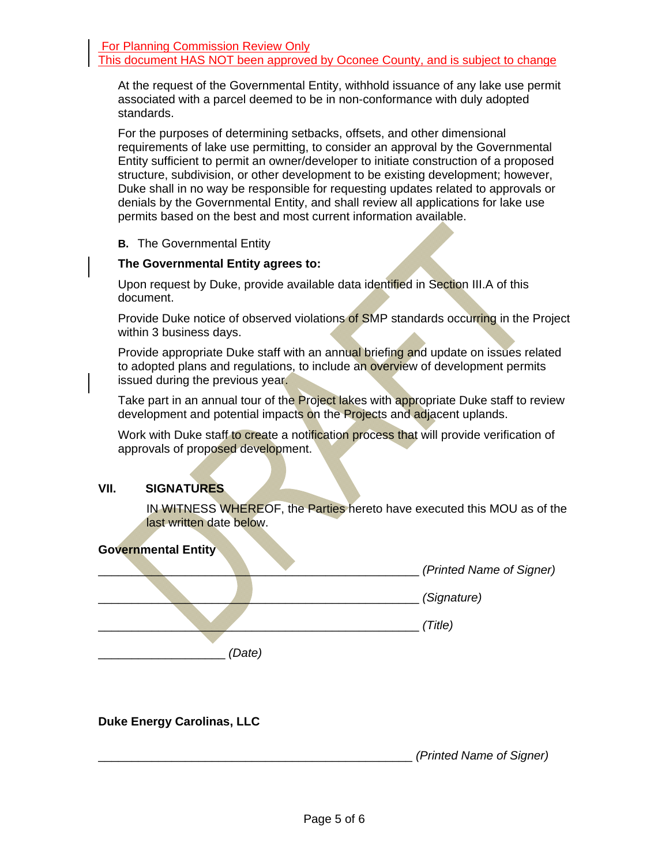At the request of the Governmental Entity, withhold issuance of any lake use permit associated with a parcel deemed to be in non-conformance with duly adopted standards.

For the purposes of determining setbacks, offsets, and other dimensional requirements of lake use permitting, to consider an approval by the Governmental Entity sufficient to permit an owner/developer to initiate construction of a proposed structure, subdivision, or other development to be existing development; however, Duke shall in no way be responsible for requesting updates related to approvals or denials by the Governmental Entity, and shall review all applications for lake use permits based on the best and most current information available.

#### **B.** The Governmental Entity

#### **The Governmental Entity agrees to:**

Upon request by Duke, provide available data identified in Section III.A of this document.

Provide Duke notice of observed violations of SMP standards occurring in the Project within 3 business days.

Provide appropriate Duke staff with an annual briefing and update on issues related to adopted plans and regulations, to include an overview of development permits issued during the previous year.

Take part in an annual tour of the Project lakes with appropriate Duke staff to review development and potential impacts on the Projects and adjacent uplands.

Work with Duke staff to create a notification process that will provide verification of approvals of proposed development.

# **VII. SIGNATURES**

IN WITNESS WHEREOF, the Parties hereto have executed this MOU as of the last written date below.



### **Duke Energy Carolinas, LLC**

\_\_\_\_\_\_\_\_\_\_\_\_\_\_\_\_\_\_\_\_\_\_\_\_\_\_\_\_\_\_\_\_\_\_\_\_\_\_\_\_\_\_\_\_\_\_\_ *(Printed Name of Signer)*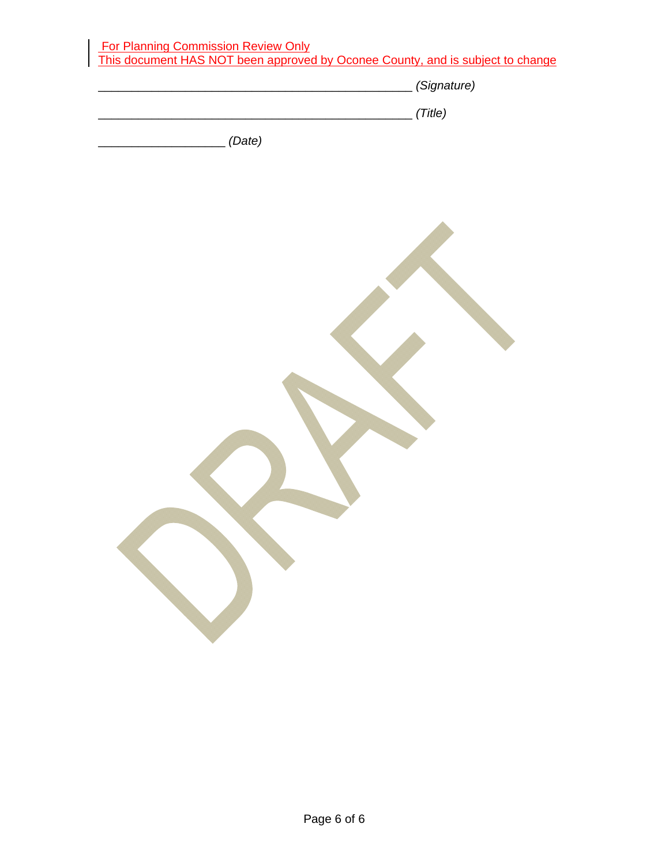|        | (Signature) |
|--------|-------------|
|        | (Title)     |
| (Date) |             |
|        |             |
|        |             |
|        |             |
|        |             |
|        |             |
|        |             |
|        |             |
|        |             |
|        |             |
|        |             |
|        |             |
|        |             |
|        |             |